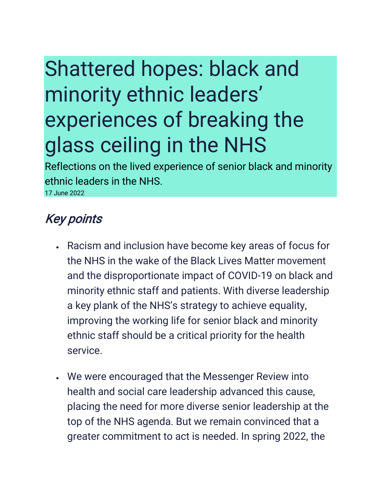# Shattered hopes: black and minority ethnic leaders' experiences of breaking the glass ceiling in the NHS

Reflections on the lived experience of senior black and minority ethnic leaders in the NHS.

17 June 2022

### Key points

- Racism and inclusion have become key areas of focus for the NHS in the wake of the Black Lives Matter movement and the disproportionate impact of COVID-19 on black and minority ethnic staff and patients. With diverse leadership a key plank of the NHS's strategy to achieve equality, improving the working life for senior black and minority ethnic staff should be a critical priority for the health service.
- We were encouraged that the Messenger Review into health and social care leadership advanced this cause, placing the need for more diverse senior leadership at the top of the NHS agenda. But we remain convinced that a greater commitment to act is needed. In spring 2022, the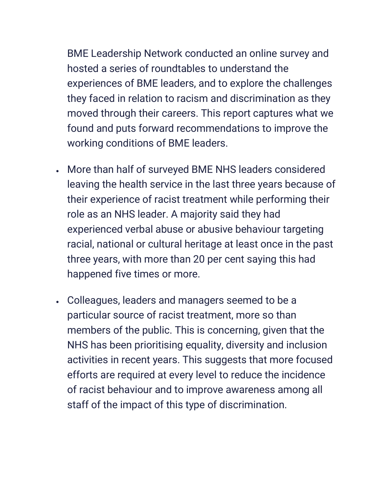BME Leadership Network conducted an online survey and hosted a series of roundtables to understand the experiences of BME leaders, and to explore the challenges they faced in relation to racism and discrimination as they moved through their careers. This report captures what we found and puts forward recommendations to improve the working conditions of BME leaders.

- More than half of surveyed BME NHS leaders considered leaving the health service in the last three years because of their experience of racist treatment while performing their role as an NHS leader. A majority said they had experienced verbal abuse or abusive behaviour targeting racial, national or cultural heritage at least once in the past three years, with more than 20 per cent saying this had happened five times or more.
- Colleagues, leaders and managers seemed to be a particular source of racist treatment, more so than members of the public. This is concerning, given that the NHS has been prioritising equality, diversity and inclusion activities in recent years. This suggests that more focused efforts are required at every level to reduce the incidence of racist behaviour and to improve awareness among all staff of the impact of this type of discrimination.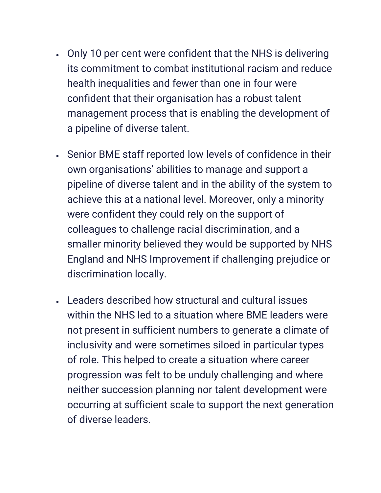- Only 10 per cent were confident that the NHS is delivering its commitment to combat institutional racism and reduce health inequalities and fewer than one in four were confident that their organisation has a robust talent management process that is enabling the development of a pipeline of diverse talent.
- Senior BME staff reported low levels of confidence in their own organisations' abilities to manage and support a pipeline of diverse talent and in the ability of the system to achieve this at a national level. Moreover, only a minority were confident they could rely on the support of colleagues to challenge racial discrimination, and a smaller minority believed they would be supported by NHS England and NHS Improvement if challenging prejudice or discrimination locally.
- Leaders described how structural and cultural issues within the NHS led to a situation where BME leaders were not present in sufficient numbers to generate a climate of inclusivity and were sometimes siloed in particular types of role. This helped to create a situation where career progression was felt to be unduly challenging and where neither succession planning nor talent development were occurring at sufficient scale to support the next generation of diverse leaders.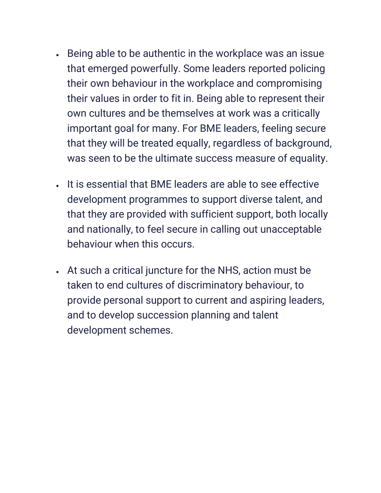- Being able to be authentic in the workplace was an issue that emerged powerfully. Some leaders reported policing their own behaviour in the workplace and compromising their values in order to fit in. Being able to represent their own cultures and be themselves at work was a critically important goal for many. For BME leaders, feeling secure that they will be treated equally, regardless of background, was seen to be the ultimate success measure of equality.
- It is essential that BME leaders are able to see effective development programmes to support diverse talent, and that they are provided with sufficient support, both locally and nationally, to feel secure in calling out unacceptable behaviour when this occurs.
- At such a critical juncture for the NHS, action must be taken to end cultures of discriminatory behaviour, to provide personal support to current and aspiring leaders, and to develop succession planning and talent development schemes.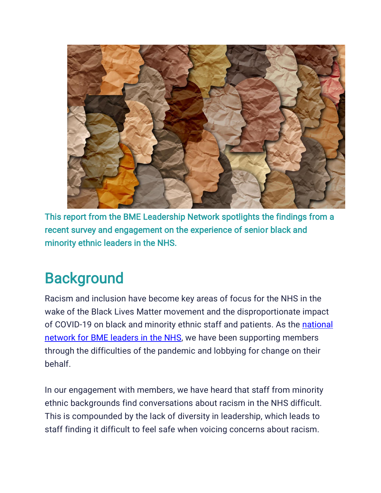

This report from the BME Leadership Network spotlights the findings from a recent survey and engagement on the experience of senior black and minority ethnic leaders in the NHS.

### **Background**

Racism and inclusion have become key areas of focus for the NHS in the wake of the Black Lives Matter movement and the disproportionate impact of COVID-19 on black and minority ethnic staff and patients. As the [national](https://www.nhsconfed.org/bme-leadership) [network](https://www.nhsconfed.org/bme-leadership) for BME leaders in the NHS, we have been supporting members through the difficulties of the pandemic and lobbying for change on their behalf.

In our engagement with members, we have heard that staff from minority ethnic backgrounds find conversations about racism in the NHS difficult. This is compounded by the lack of diversity in leadership, which leads to staff finding it difficult to feel safe when voicing concerns about racism.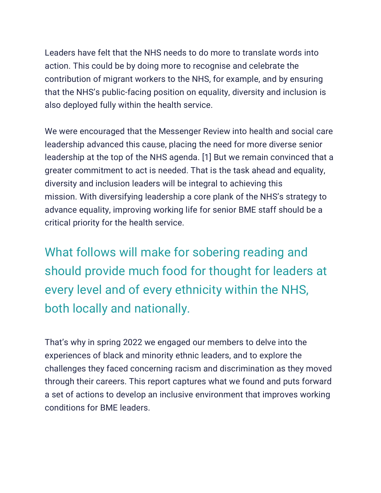Leaders have felt that the NHS needs to do more to translate words into action. This could be by doing more to recognise and celebrate the contribution of migrant workers to the NHS, for example, and by ensuring that the NHS's public-facing position on equality, diversity and inclusion is also deployed fully within the health service.

We were encouraged that the Messenger Review into health and social care leadership advanced this cause, placing the need for more diverse senior leadership at the top of the NHS agenda. [1] But we remain convinced that a greater commitment to act is needed. That is the task ahead and equality, diversity and inclusion leaders will be integral to achieving this mission. With diversifying leadership a core plank of the NHS's strategy to advance equality, improving working life for senior BME staff should be a critical priority for the health service.

What follows will make for sobering reading and should provide much food for thought for leaders at every level and of every ethnicity within the NHS, both locally and nationally.

That's why in spring 2022 we engaged our members to delve into the experiences of black and minority ethnic leaders, and to explore the challenges they faced concerning racism and discrimination as they moved through their careers. This report captures what we found and puts forward a set of actions to develop an inclusive environment that improves working conditions for BME leaders.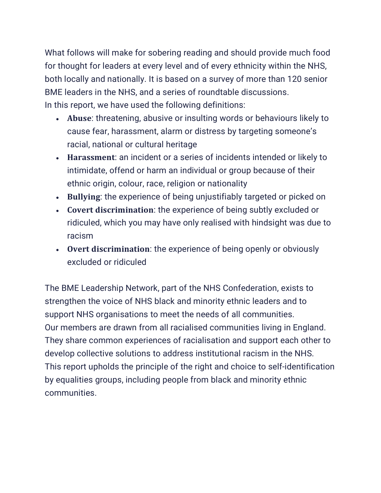What follows will make for sobering reading and should provide much food for thought for leaders at every level and of every ethnicity within the NHS, both locally and nationally. It is based on a survey of more than 120 senior BME leaders in the NHS, and a series of roundtable discussions. In this report, we have used the following definitions:

- **Abuse**: threatening, abusive or insulting words or behaviours likely to cause fear, harassment, alarm or distress by targeting someone's racial, national or cultural heritage
- **Harassment**: an incident or a series of incidents intended or likely to intimidate, offend or harm an individual or group because of their ethnic origin, colour, race, religion or nationality
- **Bullying**: the experience of being unjustifiably targeted or picked on
- **Covert discrimination**: the experience of being subtly excluded or ridiculed, which you may have only realised with hindsight was due to racism
- **Overt discrimination**: the experience of being openly or obviously excluded or ridiculed

The BME Leadership Network, part of the NHS Confederation, exists to strengthen the voice of NHS black and minority ethnic leaders and to support NHS organisations to meet the needs of all communities. Our members are drawn from all racialised communities living in England. They share common experiences of racialisation and support each other to develop collective solutions to address institutional racism in the NHS. This report upholds the principle of the right and choice to self-identification by equalities groups, including people from black and minority ethnic communities.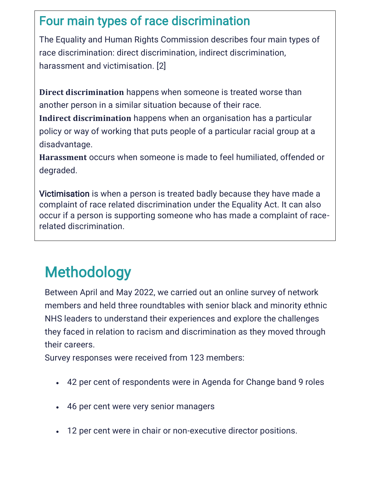#### Four main types of race discrimination

The Equality and Human Rights Commission describes four main types of race discrimination: direct discrimination, indirect discrimination, harassment and victimisation. [2]

**Direct discrimination** happens when someone is treated worse than another person in a similar situation because of their race.

**Indirect discrimination** happens when an organisation has a particular policy or way of working that puts people of a particular racial group at a disadvantage.

**Harassment** occurs when someone is made to feel humiliated, offended or degraded.

Victimisation is when a person is treated badly because they have made a complaint of race related discrimination under the Equality Act. It can also occur if a person is supporting someone who has made a complaint of racerelated discrimination.

## Methodology

Between April and May 2022, we carried out an online survey of network members and held three roundtables with senior black and minority ethnic NHS leaders to understand their experiences and explore the challenges they faced in relation to racism and discrimination as they moved through their careers.

Survey responses were received from 123 members:

- 42 per cent of respondents were in Agenda for Change band 9 roles
- 46 per cent were very senior managers
- 12 per cent were in chair or non-executive director positions.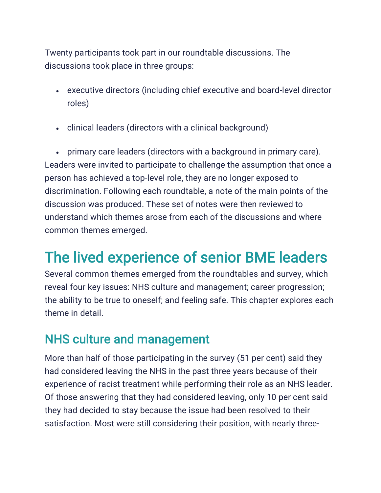Twenty participants took part in our roundtable discussions. The discussions took place in three groups:

- executive directors (including chief executive and board-level director roles)
- clinical leaders (directors with a clinical background)

• primary care leaders (directors with a background in primary care). Leaders were invited to participate to challenge the assumption that once a person has achieved a top-level role, they are no longer exposed to discrimination. Following each roundtable, a note of the main points of the discussion was produced. These set of notes were then reviewed to understand which themes arose from each of the discussions and where common themes emerged.

### The lived experience of senior BME leaders

Several common themes emerged from the roundtables and survey, which reveal four key issues: NHS culture and management; career progression; the ability to be true to oneself; and feeling safe. This chapter explores each theme in detail.

#### NHS culture and management

More than half of those participating in the survey (51 per cent) said they had considered leaving the NHS in the past three years because of their experience of racist treatment while performing their role as an NHS leader. Of those answering that they had considered leaving, only 10 per cent said they had decided to stay because the issue had been resolved to their satisfaction. Most were still considering their position, with nearly three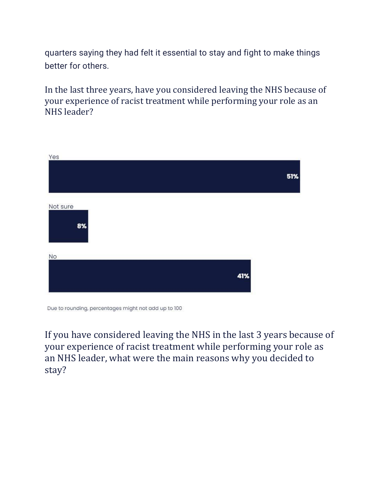quarters saying they had felt it essential to stay and fight to make things better for others.

In the last three years, have you considered leaving the NHS because of your experience of racist treatment while performing your role as an NHS leader?

| Yes            | 51% |
|----------------|-----|
| Not sure<br>8% |     |
| <b>No</b>      |     |
|                | 41% |

If you have considered leaving the NHS in the last 3 years because of your experience of racist treatment while performing your role as an NHS leader, what were the main reasons why you decided to stay?

Due to rounding, percentages might not add up to 100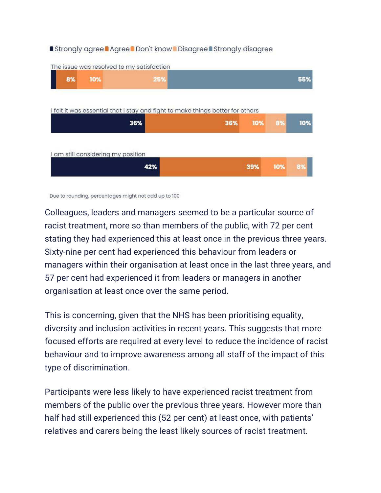#### **Strongly agree Agree Don't know Disagree Strongly disagree**



Due to rounding, percentages might not add up to 100

Colleagues, leaders and managers seemed to be a particular source of racist treatment, more so than members of the public, with 72 per cent stating they had experienced this at least once in the previous three years. Sixty-nine per cent had experienced this behaviour from leaders or managers within their organisation at least once in the last three years, and 57 per cent had experienced it from leaders or managers in another organisation at least once over the same period.

This is concerning, given that the NHS has been prioritising equality, diversity and inclusion activities in recent years. This suggests that more focused efforts are required at every level to reduce the incidence of racist behaviour and to improve awareness among all staff of the impact of this type of discrimination.

Participants were less likely to have experienced racist treatment from members of the public over the previous three years. However more than half had still experienced this (52 per cent) at least once, with patients' relatives and carers being the least likely sources of racist treatment.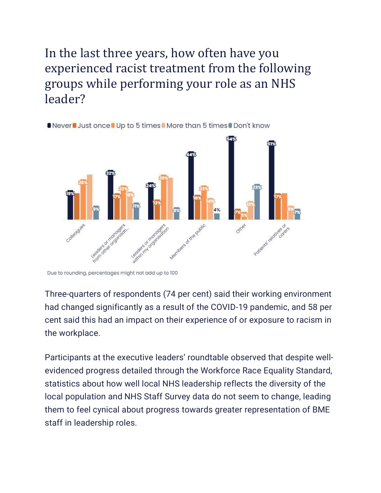#### In the last three years, how often have you experienced racist treatment from the following groups while performing your role as an NHS leader?



**ONever Just once Up to 5 times More than 5 times Don't know** 

Three-quarters of respondents (74 per cent) said their working environment had changed significantly as a result of the COVID-19 pandemic, and 58 per cent said this had an impact on their experience of or exposure to racism in the workplace.

Participants at the executive leaders' roundtable observed that despite wellevidenced progress detailed through the Workforce Race Equality Standard, statistics about how well local NHS leadership reflects the diversity of the local population and NHS Staff Survey data do not seem to change, leading them to feel cynical about progress towards greater representation of BME staff in leadership roles.

Due to rounding, percentages might not add up to 100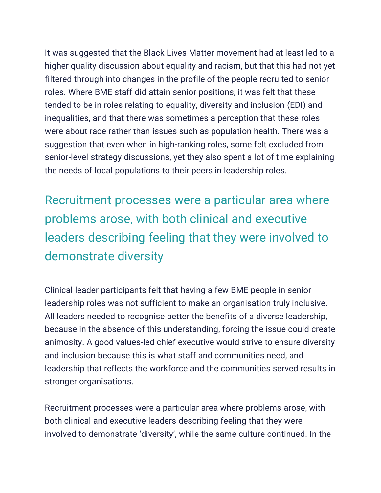It was suggested that the Black Lives Matter movement had at least led to a higher quality discussion about equality and racism, but that this had not yet filtered through into changes in the profile of the people recruited to senior roles. Where BME staff did attain senior positions, it was felt that these tended to be in roles relating to equality, diversity and inclusion (EDI) and inequalities, and that there was sometimes a perception that these roles were about race rather than issues such as population health. There was a suggestion that even when in high-ranking roles, some felt excluded from senior-level strategy discussions, yet they also spent a lot of time explaining the needs of local populations to their peers in leadership roles.

Recruitment processes were a particular area where problems arose, with both clinical and executive leaders describing feeling that they were involved to demonstrate diversity

Clinical leader participants felt that having a few BME people in senior leadership roles was not sufficient to make an organisation truly inclusive. All leaders needed to recognise better the benefits of a diverse leadership, because in the absence of this understanding, forcing the issue could create animosity. A good values-led chief executive would strive to ensure diversity and inclusion because this is what staff and communities need, and leadership that reflects the workforce and the communities served results in stronger organisations.

Recruitment processes were a particular area where problems arose, with both clinical and executive leaders describing feeling that they were involved to demonstrate 'diversity', while the same culture continued. In the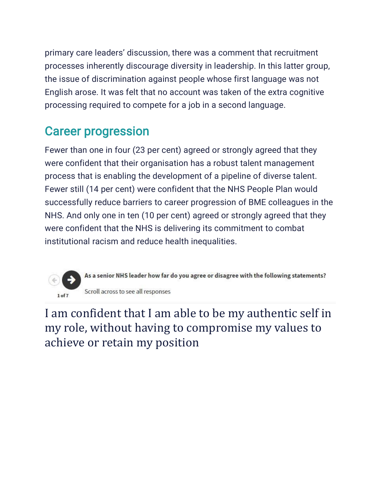primary care leaders' discussion, there was a comment that recruitment processes inherently discourage diversity in leadership. In this latter group, the issue of discrimination against people whose first language was not English arose. It was felt that no account was taken of the extra cognitive processing required to compete for a job in a second language.

#### Career progression

Fewer than one in four (23 per cent) agreed or strongly agreed that they were confident that their organisation has a robust talent management process that is enabling the development of a pipeline of diverse talent. Fewer still (14 per cent) were confident that the NHS People Plan would successfully reduce barriers to career progression of BME colleagues in the NHS. And only one in ten (10 per cent) agreed or strongly agreed that they were confident that the NHS is delivering its commitment to combat institutional racism and reduce health inequalities.



As a senior NHS leader how far do you agree or disagree with the following statements? Scroll across to see all responses

I am confident that I am able to be my authentic self in my role, without having to compromise my values to achieve or retain my position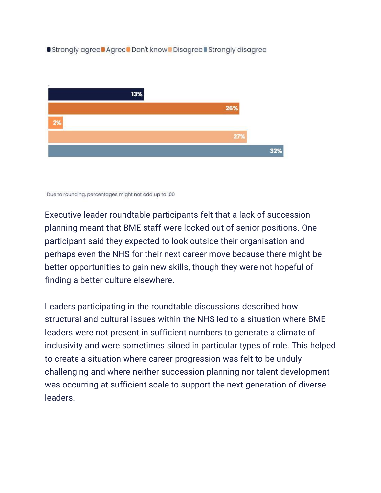**Strongly agree Agree Don't know Disagree Strongly disagree** 



Due to rounding, percentages might not add up to 100

Executive leader roundtable participants felt that a lack of succession planning meant that BME staff were locked out of senior positions. One participant said they expected to look outside their organisation and perhaps even the NHS for their next career move because there might be better opportunities to gain new skills, though they were not hopeful of finding a better culture elsewhere.

Leaders participating in the roundtable discussions described how structural and cultural issues within the NHS led to a situation where BME leaders were not present in sufficient numbers to generate a climate of inclusivity and were sometimes siloed in particular types of role. This helped to create a situation where career progression was felt to be unduly challenging and where neither succession planning nor talent development was occurring at sufficient scale to support the next generation of diverse leaders.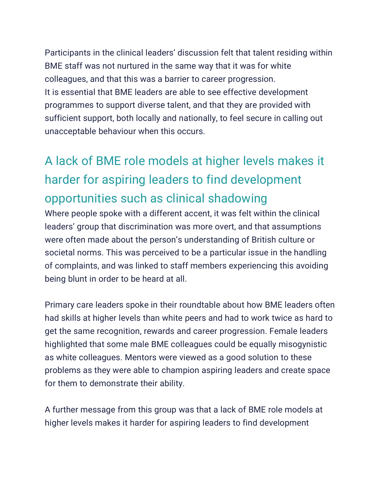Participants in the clinical leaders' discussion felt that talent residing within BME staff was not nurtured in the same way that it was for white colleagues, and that this was a barrier to career progression. It is essential that BME leaders are able to see effective development programmes to support diverse talent, and that they are provided with sufficient support, both locally and nationally, to feel secure in calling out unacceptable behaviour when this occurs.

### A lack of BME role models at higher levels makes it harder for aspiring leaders to find development opportunities such as clinical shadowing

Where people spoke with a different accent, it was felt within the clinical leaders' group that discrimination was more overt, and that assumptions were often made about the person's understanding of British culture or societal norms. This was perceived to be a particular issue in the handling of complaints, and was linked to staff members experiencing this avoiding being blunt in order to be heard at all.

Primary care leaders spoke in their roundtable about how BME leaders often had skills at higher levels than white peers and had to work twice as hard to get the same recognition, rewards and career progression. Female leaders highlighted that some male BME colleagues could be equally misogynistic as white colleagues. Mentors were viewed as a good solution to these problems as they were able to champion aspiring leaders and create space for them to demonstrate their ability.

A further message from this group was that a lack of BME role models at higher levels makes it harder for aspiring leaders to find development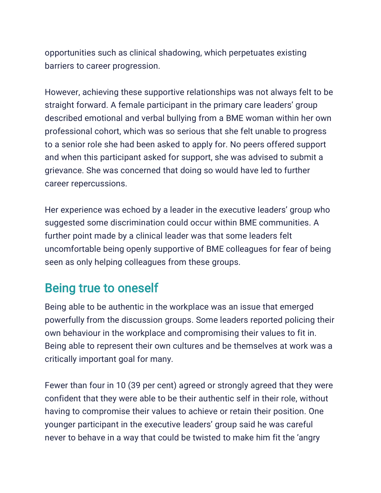opportunities such as clinical shadowing, which perpetuates existing barriers to career progression.

However, achieving these supportive relationships was not always felt to be straight forward. A female participant in the primary care leaders' group described emotional and verbal bullying from a BME woman within her own professional cohort, which was so serious that she felt unable to progress to a senior role she had been asked to apply for. No peers offered support and when this participant asked for support, she was advised to submit a grievance. She was concerned that doing so would have led to further career repercussions.

Her experience was echoed by a leader in the executive leaders' group who suggested some discrimination could occur within BME communities. A further point made by a clinical leader was that some leaders felt uncomfortable being openly supportive of BME colleagues for fear of being seen as only helping colleagues from these groups.

#### Being true to oneself

Being able to be authentic in the workplace was an issue that emerged powerfully from the discussion groups. Some leaders reported policing their own behaviour in the workplace and compromising their values to fit in. Being able to represent their own cultures and be themselves at work was a critically important goal for many.

Fewer than four in 10 (39 per cent) agreed or strongly agreed that they were confident that they were able to be their authentic self in their role, without having to compromise their values to achieve or retain their position. One younger participant in the executive leaders' group said he was careful never to behave in a way that could be twisted to make him fit the 'angry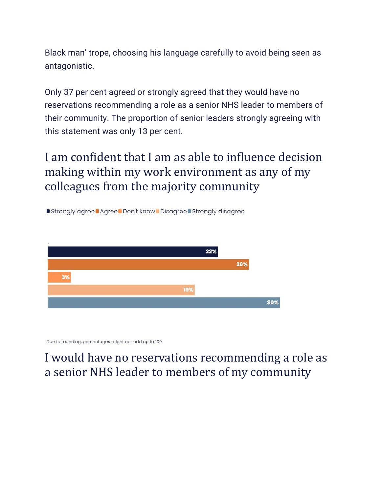Black man' trope, choosing his language carefully to avoid being seen as antagonistic.

Only 37 per cent agreed or strongly agreed that they would have no reservations recommending a role as a senior NHS leader to members of their community. The proportion of senior leaders strongly agreeing with this statement was only 13 per cent.

I am confident that I am as able to influence decision making within my work environment as any of my colleagues from the majority community

**Strongly agree | Agree | Don't know | Disagree | Strongly disagree** 



Due to rounding, percentages might not add up to 100

#### I would have no reservations recommending a role as a senior NHS leader to members of my community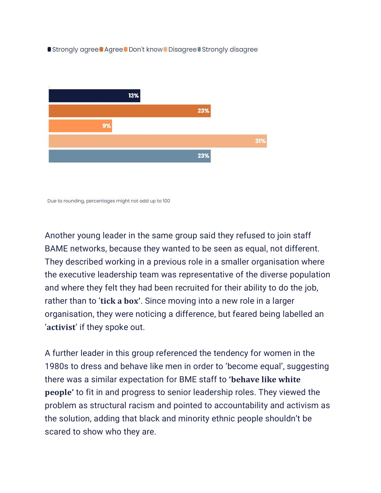**Strongly agree Agree Don't know Disagree Strongly disagree** 



Due to rounding, percentages might not add up to 100

Another young leader in the same group said they refused to join staff BAME networks, because they wanted to be seen as equal, not different. They described working in a previous role in a smaller organisation where the executive leadership team was representative of the diverse population and where they felt they had been recruited for their ability to do the job, rather than to '**tick a box'**. Since moving into a new role in a larger organisation, they were noticing a difference, but feared being labelled an '**activist**' if they spoke out.

A further leader in this group referenced the tendency for women in the 1980s to dress and behave like men in order to 'become equal', suggesting there was a similar expectation for BME staff to **'behave like white people'** to fit in and progress to senior leadership roles. They viewed the problem as structural racism and pointed to accountability and activism as the solution, adding that black and minority ethnic people shouldn't be scared to show who they are.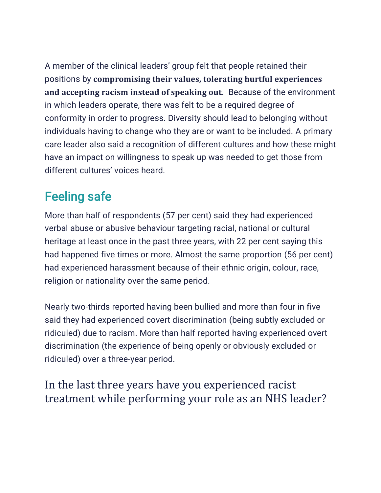A member of the clinical leaders' group felt that people retained their positions by **compromising their values, tolerating hurtful experiences and accepting racism instead of speaking out**. Because of the environment in which leaders operate, there was felt to be a required degree of conformity in order to progress. Diversity should lead to belonging without individuals having to change who they are or want to be included. A primary care leader also said a recognition of different cultures and how these might have an impact on willingness to speak up was needed to get those from different cultures' voices heard.

### Feeling safe

More than half of respondents (57 per cent) said they had experienced verbal abuse or abusive behaviour targeting racial, national or cultural heritage at least once in the past three years, with 22 per cent saying this had happened five times or more. Almost the same proportion (56 per cent) had experienced harassment because of their ethnic origin, colour, race, religion or nationality over the same period.

Nearly two-thirds reported having been bullied and more than four in five said they had experienced covert discrimination (being subtly excluded or ridiculed) due to racism. More than half reported having experienced overt discrimination (the experience of being openly or obviously excluded or ridiculed) over a three-year period.

In the last three years have you experienced racist treatment while performing your role as an NHS leader?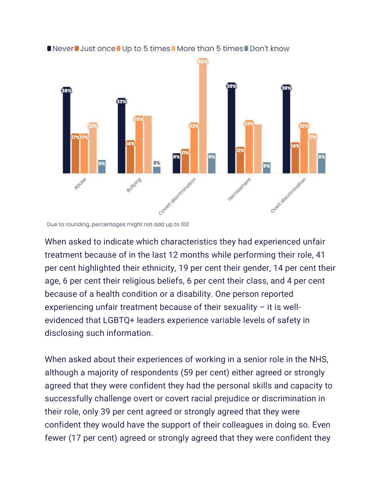

#### ■ Never ■ Just once ■ Up to 5 times ■ More than 5 times ■ Don't know

When asked to indicate which characteristics they had experienced unfair treatment because of in the last 12 months while performing their role, 41 per cent highlighted their ethnicity, 19 per cent their gender, 14 per cent their age, 6 per cent their religious beliefs, 6 per cent their class, and 4 per cent because of a health condition or a disability. One person reported experiencing unfair treatment because of their sexuality – it is wellevidenced that LGBTQ+ leaders experience variable levels of safety in disclosing such information.

When asked about their experiences of working in a senior role in the NHS, although a majority of respondents (59 per cent) either agreed or strongly agreed that they were confident they had the personal skills and capacity to successfully challenge overt or covert racial prejudice or discrimination in their role, only 39 per cent agreed or strongly agreed that they were confident they would have the support of their colleagues in doing so. Even fewer (17 per cent) agreed or strongly agreed that they were confident they

Due to rounding, percentages might not add up to 100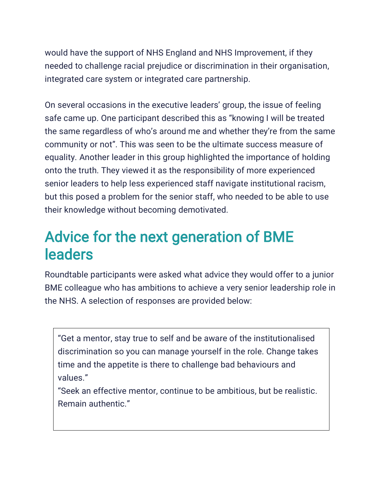would have the support of NHS England and NHS Improvement, if they needed to challenge racial prejudice or discrimination in their organisation, integrated care system or integrated care partnership.

On several occasions in the executive leaders' group, the issue of feeling safe came up. One participant described this as "knowing I will be treated the same regardless of who's around me and whether they're from the same community or not". This was seen to be the ultimate success measure of equality. Another leader in this group highlighted the importance of holding onto the truth. They viewed it as the responsibility of more experienced senior leaders to help less experienced staff navigate institutional racism, but this posed a problem for the senior staff, who needed to be able to use their knowledge without becoming demotivated.

### Advice for the next generation of BME leaders

Roundtable participants were asked what advice they would offer to a junior BME colleague who has ambitions to achieve a very senior leadership role in the NHS. A selection of responses are provided below:

"Get a mentor, stay true to self and be aware of the institutionalised discrimination so you can manage yourself in the role. Change takes time and the appetite is there to challenge bad behaviours and values."

"Seek an effective mentor, continue to be ambitious, but be realistic. Remain authentic."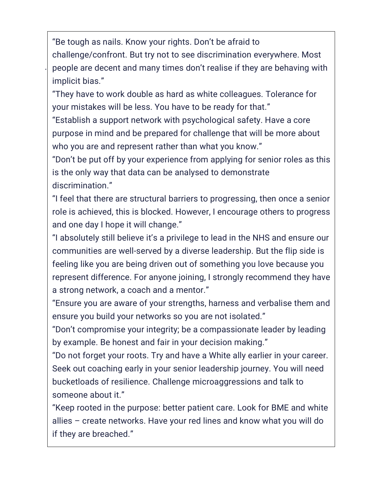"Be tough as nails. Know your rights. Don't be afraid to challenge/confront. But try not to see discrimination everywhere. Most people are decent and many times don't realise if they are behaving with implicit bias."

.

"They have to work double as hard as white colleagues. Tolerance for your mistakes will be less. You have to be ready for that."

"Establish a support network with psychological safety. Have a core purpose in mind and be prepared for challenge that will be more about who you are and represent rather than what you know."

"Don't be put off by your experience from applying for senior roles as this is the only way that data can be analysed to demonstrate discrimination."

"I feel that there are structural barriers to progressing, then once a senior role is achieved, this is blocked. However, I encourage others to progress and one day I hope it will change."

"I absolutely still believe it's a privilege to lead in the NHS and ensure our communities are well-served by a diverse leadership. But the flip side is feeling like you are being driven out of something you love because you represent difference. For anyone joining, I strongly recommend they have a strong network, a coach and a mentor."

"Ensure you are aware of your strengths, harness and verbalise them and ensure you build your networks so you are not isolated."

"Don't compromise your integrity; be a compassionate leader by leading by example. Be honest and fair in your decision making."

"Do not forget your roots. Try and have a White ally earlier in your career. Seek out coaching early in your senior leadership journey. You will need bucketloads of resilience. Challenge microaggressions and talk to someone about it."

"Keep rooted in the purpose: better patient care. Look for BME and white allies – create networks. Have your red lines and know what you will do if they are breached."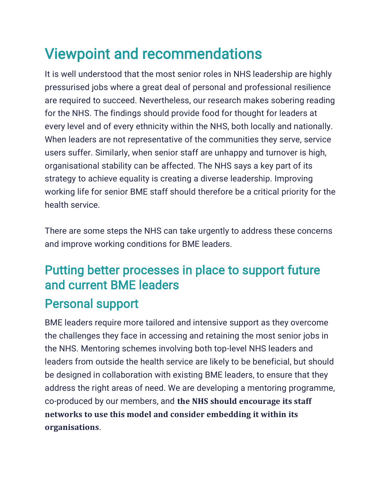## Viewpoint and recommendations

It is well understood that the most senior roles in NHS leadership are highly pressurised jobs where a great deal of personal and professional resilience are required to succeed. Nevertheless, our research makes sobering reading for the NHS. The findings should provide food for thought for leaders at every level and of every ethnicity within the NHS, both locally and nationally. When leaders are not representative of the communities they serve, service users suffer. Similarly, when senior staff are unhappy and turnover is high, organisational stability can be affected. The NHS says a key part of its strategy to achieve equality is creating a diverse leadership. Improving working life for senior BME staff should therefore be a critical priority for the health service.

There are some steps the NHS can take urgently to address these concerns and improve working conditions for BME leaders.

### Putting better processes in place to support future and current BME leaders Personal support

BME leaders require more tailored and intensive support as they overcome the challenges they face in accessing and retaining the most senior jobs in the NHS. Mentoring schemes involving both top-level NHS leaders and leaders from outside the health service are likely to be beneficial, but should be designed in collaboration with existing BME leaders, to ensure that they address the right areas of need. We are developing a mentoring programme, co-produced by our members, and **the NHS should encourage its staff networks to use this model and consider embedding it within its organisations**.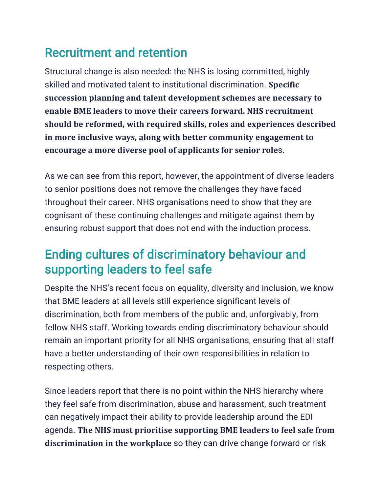#### Recruitment and retention

Structural change is also needed: the NHS is losing committed, highly skilled and motivated talent to institutional discrimination. **Specific succession planning and talent development schemes are necessary to enable BME leaders to move their careers forward. NHS recruitment should be reformed, with required skills, roles and experiences described in more inclusive ways, along with better community engagement to encourage a more diverse pool of applicants for senior role**s.

As we can see from this report, however, the appointment of diverse leaders to senior positions does not remove the challenges they have faced throughout their career. NHS organisations need to show that they are cognisant of these continuing challenges and mitigate against them by ensuring robust support that does not end with the induction process.

#### Ending cultures of discriminatory behaviour and supporting leaders to feel safe

Despite the NHS's recent focus on equality, diversity and inclusion, we know that BME leaders at all levels still experience significant levels of discrimination, both from members of the public and, unforgivably, from fellow NHS staff. Working towards ending discriminatory behaviour should remain an important priority for all NHS organisations, ensuring that all staff have a better understanding of their own responsibilities in relation to respecting others.

Since leaders report that there is no point within the NHS hierarchy where they feel safe from discrimination, abuse and harassment, such treatment can negatively impact their ability to provide leadership around the EDI agenda. **The NHS must prioritise supporting BME leaders to feel safe from discrimination in the workplace** so they can drive change forward or risk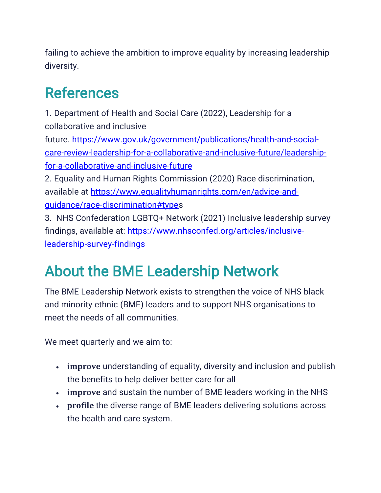failing to achieve the ambition to improve equality by increasing leadership diversity.

### References

1. Department of Health and Social Care (2022), Leadership for a collaborative and inclusive

future. [https://www.gov.uk/government/publications/health-and-social](https://www.gov.uk/government/publications/health-and-social-care-review-leadership-for-a-collaborative-and-inclusive-future/leadership-for-a-collaborative-and-inclusive-future)[care-review-leadership-for-a-collaborative-and-inclusive-future/leadership](https://www.gov.uk/government/publications/health-and-social-care-review-leadership-for-a-collaborative-and-inclusive-future/leadership-for-a-collaborative-and-inclusive-future)[for-a-collaborative-and-inclusive-future](https://www.gov.uk/government/publications/health-and-social-care-review-leadership-for-a-collaborative-and-inclusive-future/leadership-for-a-collaborative-and-inclusive-future)

2. Equality and Human Rights Commission (2020) Race discrimination, available at [https://www.equalityhumanrights.com/en/advice-and](https://www.equalityhumanrights.com/en/advice-and-guidance/race-discrimination#type)[guidance/race-discrimination#types](https://www.equalityhumanrights.com/en/advice-and-guidance/race-discrimination#type)

3. NHS Confederation LGBTQ+ Network (2021) Inclusive leadership survey findings, available at: [https://www.nhsconfed.org/articles/inclusive](https://www.nhsconfed.org/articles/inclusive-leadership-survey-findings)[leadership-survey-findings](https://www.nhsconfed.org/articles/inclusive-leadership-survey-findings)

## About the BME Leadership Network

The BME Leadership Network exists to strengthen the voice of NHS black and minority ethnic (BME) leaders and to support NHS organisations to meet the needs of all communities.

We meet quarterly and we aim to:

- **improve** understanding of equality, diversity and inclusion and publish the benefits to help deliver better care for all
- **improve** and sustain the number of BME leaders working in the NHS
- **profile** the diverse range of BME leaders delivering solutions across the health and care system.